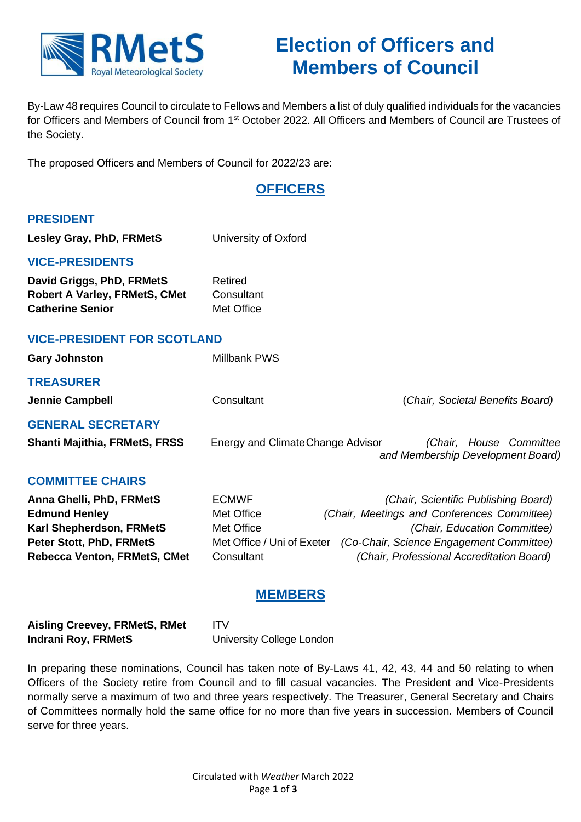

# **Election of Officers and Members of Council**

By-Law 48 requires Council to circulate to Fellows and Members a list of duly qualified individuals for the vacancies for Officers and Members of Council from 1<sup>st</sup> October 2022. All Officers and Members of Council are Trustees of the Society.

The proposed Officers and Members of Council for 2022/23 are:

# **OFFICERS**

## **PRESIDENT**

**Lesley Gray, PhD, FRMetS** University of Oxford **VICE-PRESIDENTS David Griggs, PhD, FRMetS** Retired **Robert A Varley, FRMetS, CMet** Consultant **Catherine Senior** Met Office **VICE-PRESIDENT FOR SCOTLAND** Gary Johnston Millbank PWS **TREASURER Jennie Campbell** Consultant (*Chair, Societal Benefits Board)* **GENERAL SECRETARY Shanti Majithia, FRMetS, FRSS** Energy and ClimateChange Advisor *(Chair, House Committee and Membership Development Board)* **COMMITTEE CHAIRS Anna Ghelli, PhD, FRMetS** ECMWF *(Chair, Scientific Publishing Board)*  **Edmund Henley** Met Office *(Chair, Meetings and Conferences Committee)*  **Karl Shepherdson, FRMetS** Met Office **Met Access 10 Met Office** *(Chair, Education Committee)* **Peter Stott, PhD, FRMetS** Met Office / Uni of Exeter *(Co-Chair, Science Engagement Committee)*  **Rebecca Venton, FRMetS, CMet** Consultant *(Chair, Professional Accreditation Board)*

# **MEMBERS**

| <b>Aisling Creevey, FRMetS, RMet</b> | ITV                       |
|--------------------------------------|---------------------------|
| Indrani Roy, FRMetS                  | University College London |

In preparing these nominations, Council has taken note of By-Laws 41, 42, 43, 44 and 50 relating to when Officers of the Society retire from Council and to fill casual vacancies. The President and Vice-Presidents normally serve a maximum of two and three years respectively. The Treasurer, General Secretary and Chairs of Committees normally hold the same office for no more than five years in succession. Members of Council serve for three years.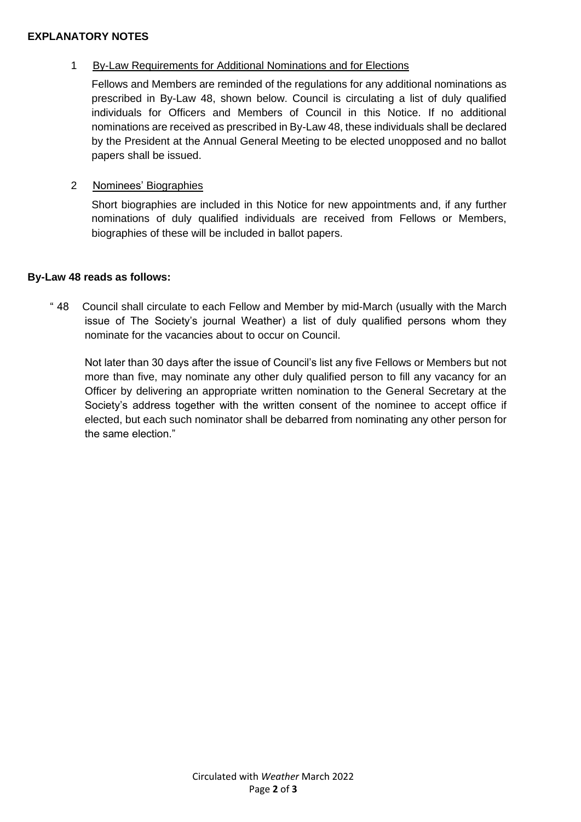#### **EXPLANATORY NOTES**

### 1 By-Law Requirements for Additional Nominations and for Elections

Fellows and Members are reminded of the regulations for any additional nominations as prescribed in By-Law 48, shown below. Council is circulating a list of duly qualified individuals for Officers and Members of Council in this Notice. If no additional nominations are received as prescribed in By-Law 48, these individuals shall be declared by the President at the Annual General Meeting to be elected unopposed and no ballot papers shall be issued.

#### 2 Nominees' Biographies

Short biographies are included in this Notice for new appointments and, if any further nominations of duly qualified individuals are received from Fellows or Members, biographies of these will be included in ballot papers.

#### **By-Law 48 reads as follows:**

" 48 Council shall circulate to each Fellow and Member by mid-March (usually with the March issue of The Society's journal Weather) a list of duly qualified persons whom they nominate for the vacancies about to occur on Council.

Not later than 30 days after the issue of Council's list any five Fellows or Members but not more than five, may nominate any other duly qualified person to fill any vacancy for an Officer by delivering an appropriate written nomination to the General Secretary at the Society's address together with the written consent of the nominee to accept office if elected, but each such nominator shall be debarred from nominating any other person for the same election."